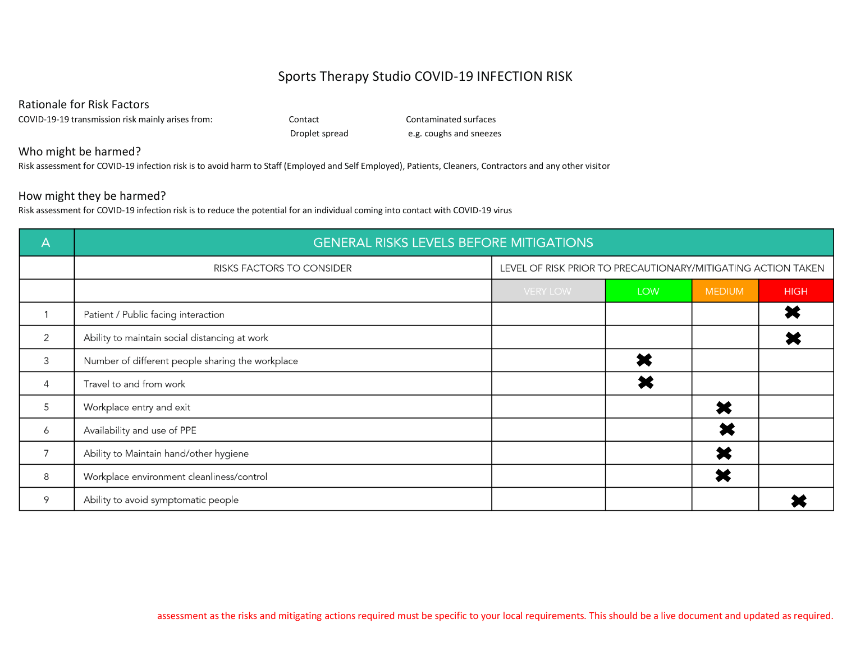## Sports Therapy Studio COVID-19 INFECTION RISK

Rationale for Risk Factors

COVID-19-19 transmission risk mainly arises from: Contact Contaminated surfaces

Droplet spread e.g. coughs and sneezes

## Who might be harmed?

Risk assessment for COVID-19 infection risk is to avoid harm to Staff (Employed and Self Employed), Patients, Cleaners, Contractors and any other visitor

## How might they be harmed?

Risk assessment for COVID-19 infection risk is to reduce the potential for an individual coming into contact with COVID-19 virus

| $\overline{\mathsf{A}}$ | <b>GENERAL RISKS LEVELS BEFORE MITIGATIONS</b>   |                                                              |            |               |             |  |  |
|-------------------------|--------------------------------------------------|--------------------------------------------------------------|------------|---------------|-------------|--|--|
|                         | <b>RISKS FACTORS TO CONSIDER</b>                 | LEVEL OF RISK PRIOR TO PRECAUTIONARY/MITIGATING ACTION TAKEN |            |               |             |  |  |
|                         |                                                  | <b>VERY LOW</b>                                              | <b>LOW</b> | <b>MEDIUM</b> | <b>HIGH</b> |  |  |
|                         | Patient / Public facing interaction              |                                                              |            |               |             |  |  |
| 2                       | Ability to maintain social distancing at work    |                                                              |            |               |             |  |  |
| 3                       | Number of different people sharing the workplace |                                                              |            |               |             |  |  |
| 4                       | Travel to and from work                          |                                                              |            |               |             |  |  |
| 5                       | Workplace entry and exit                         |                                                              |            |               |             |  |  |
| 6                       | Availability and use of PPE                      |                                                              |            |               |             |  |  |
| $\overline{7}$          | Ability to Maintain hand/other hygiene           |                                                              |            |               |             |  |  |
| 8                       | Workplace environment cleanliness/control        |                                                              |            |               |             |  |  |
| 9                       | Ability to avoid symptomatic people              |                                                              |            |               |             |  |  |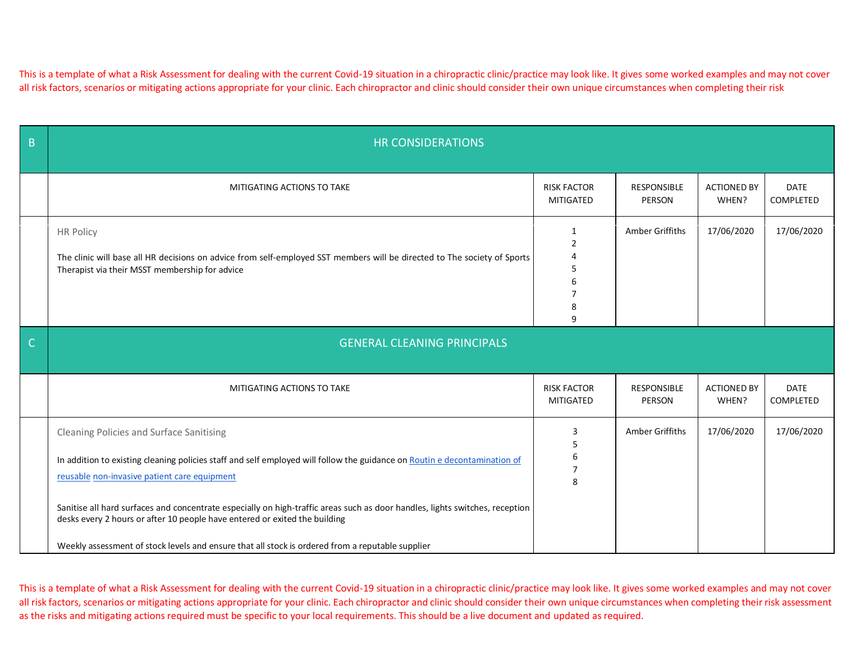This is a template of what a Risk Assessment for dealing with the current Covid-19 situation in a chiropractic clinic/practice may look like. It gives some worked examples and may not cover all risk factors, scenarios or mitigating actions appropriate for your clinic. Each chiropractor and clinic should consider their own unique circumstances when completing their risk

| $\overline{B}$        | <b>HR CONSIDERATIONS</b>                                                                                                                                                                                                                                                                                       |                                                                |                              |                             |                          |
|-----------------------|----------------------------------------------------------------------------------------------------------------------------------------------------------------------------------------------------------------------------------------------------------------------------------------------------------------|----------------------------------------------------------------|------------------------------|-----------------------------|--------------------------|
|                       | MITIGATING ACTIONS TO TAKE                                                                                                                                                                                                                                                                                     | <b>RISK FACTOR</b><br>MITIGATED                                | <b>RESPONSIBLE</b><br>PERSON | <b>ACTIONED BY</b><br>WHEN? | <b>DATE</b><br>COMPLETED |
|                       | <b>HR Policy</b><br>The clinic will base all HR decisions on advice from self-employed SST members will be directed to The society of Sports<br>Therapist via their MSST membership for advice                                                                                                                 | 1<br>$\overline{2}$<br>4<br>5<br>6<br>$\overline{7}$<br>8<br>9 | Amber Griffiths              | 17/06/2020                  | 17/06/2020               |
| $\overline{\text{C}}$ | <b>GENERAL CLEANING PRINCIPALS</b>                                                                                                                                                                                                                                                                             |                                                                |                              |                             |                          |
|                       | MITIGATING ACTIONS TO TAKE                                                                                                                                                                                                                                                                                     | <b>RISK FACTOR</b><br>MITIGATED                                | RESPONSIBLE<br>PERSON        | <b>ACTIONED BY</b><br>WHEN? | <b>DATE</b><br>COMPLETED |
|                       | Cleaning Policies and Surface Sanitising<br>In addition to existing cleaning policies staff and self employed will follow the guidance on Routin e decontamination of<br>reusable non-invasive patient care equipment                                                                                          | 3<br>5<br>6<br>$\overline{7}$<br>8                             | Amber Griffiths              | 17/06/2020                  | 17/06/2020               |
|                       | Sanitise all hard surfaces and concentrate especially on high-traffic areas such as door handles, lights switches, reception<br>desks every 2 hours or after 10 people have entered or exited the building<br>Weekly assessment of stock levels and ensure that all stock is ordered from a reputable supplier |                                                                |                              |                             |                          |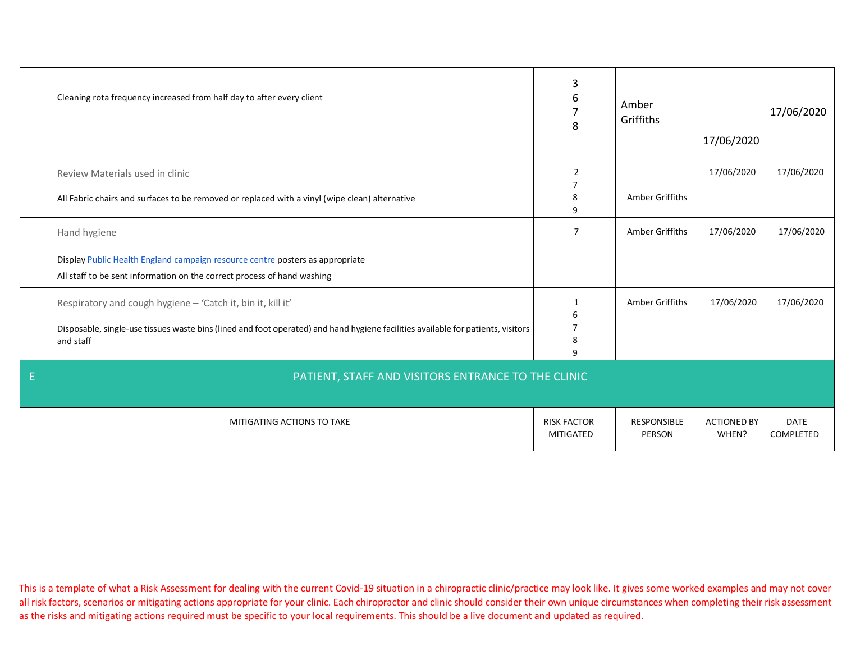|   | Cleaning rota frequency increased from half day to after every client                                                                                                                                                                                                                                                                                                                    | 3<br>6<br>$\overline{7}$<br>8                 | Amber<br>Griffiths                 | 17/06/2020                  | 17/06/2020               |
|---|------------------------------------------------------------------------------------------------------------------------------------------------------------------------------------------------------------------------------------------------------------------------------------------------------------------------------------------------------------------------------------------|-----------------------------------------------|------------------------------------|-----------------------------|--------------------------|
|   | Review Materials used in clinic<br>All Fabric chairs and surfaces to be removed or replaced with a vinyl (wipe clean) alternative                                                                                                                                                                                                                                                        | 2<br>7<br>8<br>9                              | Amber Griffiths                    | 17/06/2020                  | 17/06/2020               |
|   | Hand hygiene<br>Display Public Health England campaign resource centre posters as appropriate<br>All staff to be sent information on the correct process of hand washing<br>Respiratory and cough hygiene - 'Catch it, bin it, kill it'<br>Disposable, single-use tissues waste bins (lined and foot operated) and hand hygiene facilities available for patients, visitors<br>and staff | $\overline{7}$<br>$\mathbf{1}$<br>6<br>8<br>9 | Amber Griffiths<br>Amber Griffiths | 17/06/2020<br>17/06/2020    | 17/06/2020<br>17/06/2020 |
| E | PATIENT, STAFF AND VISITORS ENTRANCE TO THE CLINIC                                                                                                                                                                                                                                                                                                                                       |                                               |                                    |                             |                          |
|   | MITIGATING ACTIONS TO TAKE                                                                                                                                                                                                                                                                                                                                                               | <b>RISK FACTOR</b><br>MITIGATED               | <b>RESPONSIBLE</b><br>PERSON       | <b>ACTIONED BY</b><br>WHEN? | <b>DATE</b><br>COMPLETED |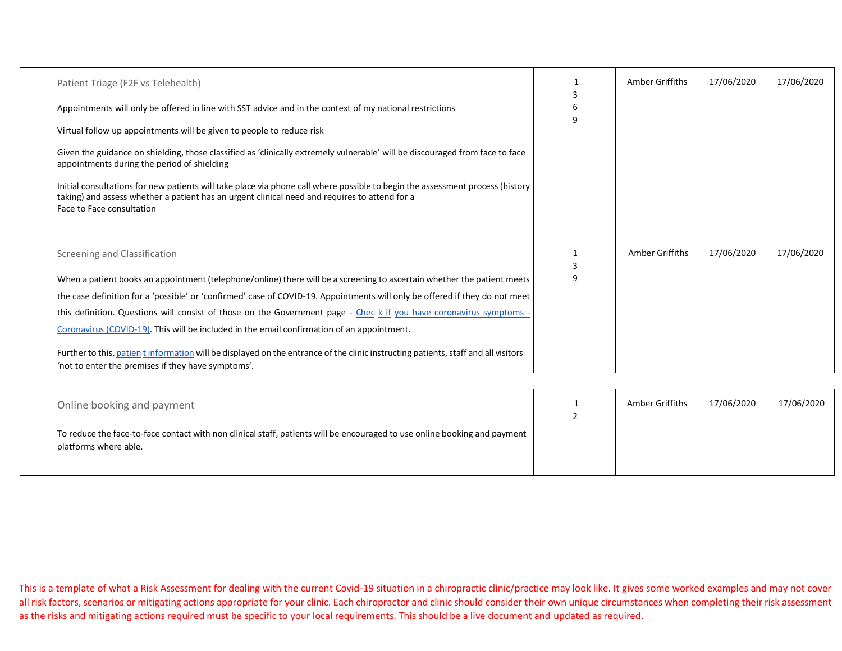| Patient Triage (F2F vs Telehealth)<br>Appointments will only be offered in line with SST advice and in the context of my national restrictions<br>Virtual follow up appointments will be given to people to reduce risk<br>Given the guidance on shielding, those classified as 'clinically extremely vulnerable' will be discouraged from face to face<br>appointments during the period of shielding<br>Initial consultations for new patients will take place via phone call where possible to begin the assessment process (history<br>taking) and assess whether a patient has an urgent clinical need and requires to attend for a<br>Face to Face consultation                                  | q | Amber Griffiths | 17/06/2020 | 17/06/2020 |
|--------------------------------------------------------------------------------------------------------------------------------------------------------------------------------------------------------------------------------------------------------------------------------------------------------------------------------------------------------------------------------------------------------------------------------------------------------------------------------------------------------------------------------------------------------------------------------------------------------------------------------------------------------------------------------------------------------|---|-----------------|------------|------------|
| Screening and Classification<br>When a patient books an appointment (telephone/online) there will be a screening to ascertain whether the patient meets<br>the case definition for a 'possible' or 'confirmed' case of COVID-19. Appointments will only be offered if they do not meet<br>this definition. Questions will consist of those on the Government page - Chec k if you have coronavirus symptoms -<br>Coronavirus (COVID-19). This will be included in the email confirmation of an appointment.<br>Further to this, patient information will be displayed on the entrance of the clinic instructing patients, staff and all visitors<br>'not to enter the premises if they have symptoms'. |   | Amber Griffiths | 17/06/2020 | 17/06/2020 |

| Online booking and payment                                                                                                                         | Amber Griffiths | 17/06/2020 | 17/06/2020 |
|----------------------------------------------------------------------------------------------------------------------------------------------------|-----------------|------------|------------|
| To reduce the face-to-face contact with non clinical staff, patients will be encouraged to use online booking and payment<br>platforms where able. |                 |            |            |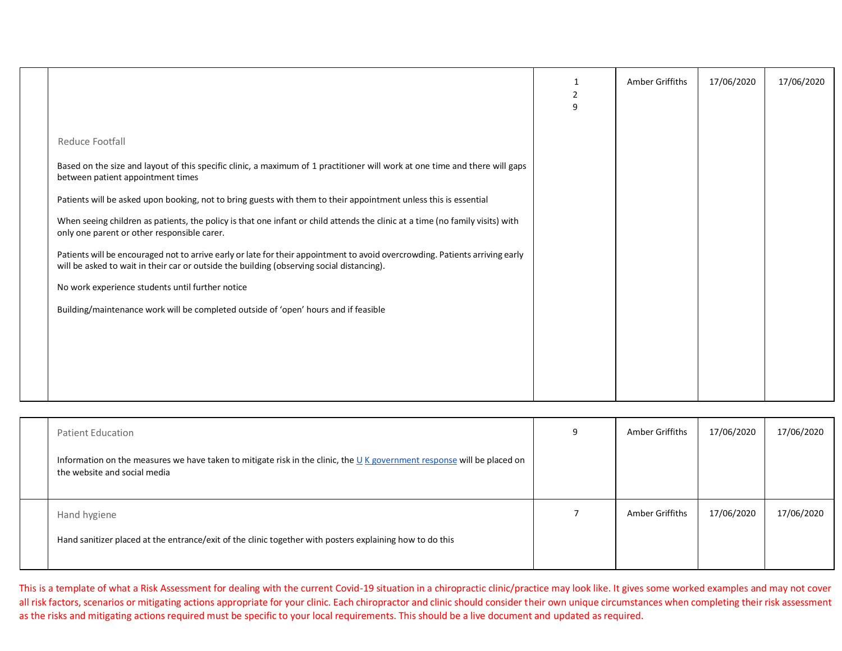|                                                                                                                                                                                                                           | -1<br>$\overline{2}$<br>9 | Amber Griffiths | 17/06/2020 | 17/06/2020 |
|---------------------------------------------------------------------------------------------------------------------------------------------------------------------------------------------------------------------------|---------------------------|-----------------|------------|------------|
| Reduce Footfall                                                                                                                                                                                                           |                           |                 |            |            |
| Based on the size and layout of this specific clinic, a maximum of 1 practitioner will work at one time and there will gaps<br>between patient appointment times                                                          |                           |                 |            |            |
| Patients will be asked upon booking, not to bring guests with them to their appointment unless this is essential                                                                                                          |                           |                 |            |            |
| When seeing children as patients, the policy is that one infant or child attends the clinic at a time (no family visits) with<br>only one parent or other responsible carer.                                              |                           |                 |            |            |
| Patients will be encouraged not to arrive early or late for their appointment to avoid overcrowding. Patients arriving early<br>will be asked to wait in their car or outside the building (observing social distancing). |                           |                 |            |            |
| No work experience students until further notice                                                                                                                                                                          |                           |                 |            |            |
| Building/maintenance work will be completed outside of 'open' hours and if feasible                                                                                                                                       |                           |                 |            |            |
|                                                                                                                                                                                                                           |                           |                 |            |            |
|                                                                                                                                                                                                                           |                           |                 |            |            |
|                                                                                                                                                                                                                           |                           |                 |            |            |
|                                                                                                                                                                                                                           |                           |                 |            |            |

| <b>Patient Education</b>                                                                                                                                  | q | Amber Griffiths | 17/06/2020 | 17/06/2020 |
|-----------------------------------------------------------------------------------------------------------------------------------------------------------|---|-----------------|------------|------------|
| Information on the measures we have taken to mitigate risk in the clinic, the $U$ K government response will be placed on<br>the website and social media |   |                 |            |            |
| Hand hygiene                                                                                                                                              |   | Amber Griffiths | 17/06/2020 | 17/06/2020 |
| Hand sanitizer placed at the entrance/exit of the clinic together with posters explaining how to do this                                                  |   |                 |            |            |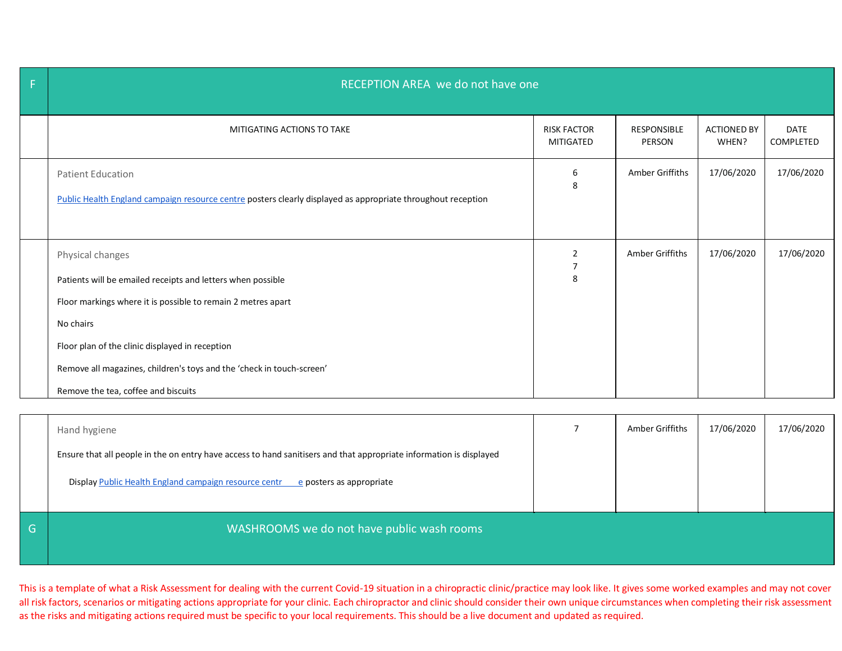| $\mathsf F$ | RECEPTION AREA we do not have one                                                                                                                                                                                                                                                                                               |                                       |                              |                             |                          |  |  |
|-------------|---------------------------------------------------------------------------------------------------------------------------------------------------------------------------------------------------------------------------------------------------------------------------------------------------------------------------------|---------------------------------------|------------------------------|-----------------------------|--------------------------|--|--|
|             | MITIGATING ACTIONS TO TAKE                                                                                                                                                                                                                                                                                                      | <b>RISK FACTOR</b><br>MITIGATED       | <b>RESPONSIBLE</b><br>PERSON | <b>ACTIONED BY</b><br>WHEN? | <b>DATE</b><br>COMPLETED |  |  |
|             | <b>Patient Education</b><br>Public Health England campaign resource centre posters clearly displayed as appropriate throughout reception                                                                                                                                                                                        | 6<br>8                                | Amber Griffiths              | 17/06/2020                  | 17/06/2020               |  |  |
|             | Physical changes<br>Patients will be emailed receipts and letters when possible<br>Floor markings where it is possible to remain 2 metres apart<br>No chairs<br>Floor plan of the clinic displayed in reception<br>Remove all magazines, children's toys and the 'check in touch-screen'<br>Remove the tea, coffee and biscuits | $\overline{2}$<br>$\overline{7}$<br>8 | Amber Griffiths              | 17/06/2020                  | 17/06/2020               |  |  |

|   | Hand hygiene                                                                                                        | Amber Griffiths | 17/06/2020 | 17/06/2020 |
|---|---------------------------------------------------------------------------------------------------------------------|-----------------|------------|------------|
|   | Ensure that all people in the on entry have access to hand sanitisers and that appropriate information is displayed |                 |            |            |
|   | Display Public Health England campaign resource centr<br>e posters as appropriate                                   |                 |            |            |
| G | WASHROOMS we do not have public wash rooms                                                                          |                 |            |            |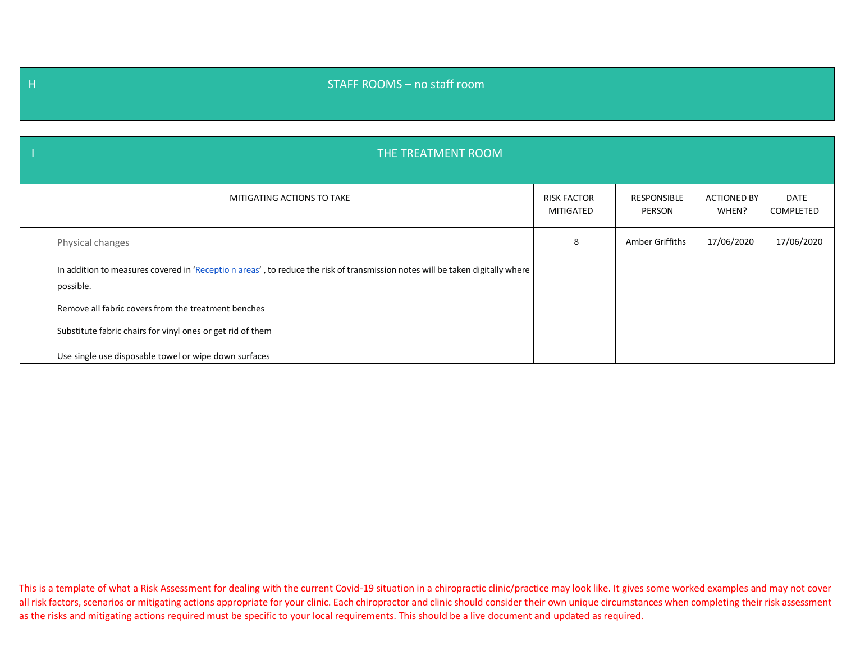## H STAFF ROOMS – no staff room

| THE TREATMENT ROOM                                                                                                                         |                                        |                              |                             |                   |
|--------------------------------------------------------------------------------------------------------------------------------------------|----------------------------------------|------------------------------|-----------------------------|-------------------|
| MITIGATING ACTIONS TO TAKE                                                                                                                 | <b>RISK FACTOR</b><br><b>MITIGATED</b> | <b>RESPONSIBLE</b><br>PERSON | <b>ACTIONED BY</b><br>WHEN? | DATE<br>COMPLETED |
| Physical changes                                                                                                                           | 8                                      | Amber Griffiths              | 17/06/2020                  | 17/06/2020        |
| In addition to measures covered in 'Receptio n areas', to reduce the risk of transmission notes will be taken digitally where<br>possible. |                                        |                              |                             |                   |
| Remove all fabric covers from the treatment benches                                                                                        |                                        |                              |                             |                   |
| Substitute fabric chairs for vinyl ones or get rid of them                                                                                 |                                        |                              |                             |                   |
| Use single use disposable towel or wipe down surfaces                                                                                      |                                        |                              |                             |                   |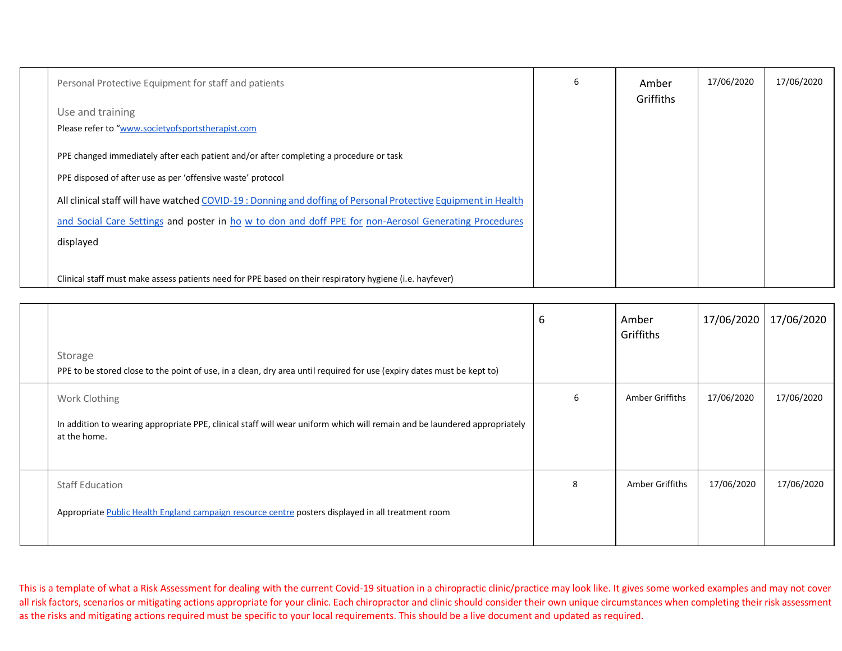| Personal Protective Equipment for staff and patients                                                           | 6 | Amber<br>Griffiths | 17/06/2020 | 17/06/2020 |
|----------------------------------------------------------------------------------------------------------------|---|--------------------|------------|------------|
| Use and training                                                                                               |   |                    |            |            |
| Please refer to "www.societyofsportstherapist.com                                                              |   |                    |            |            |
| PPE changed immediately after each patient and/or after completing a procedure or task                         |   |                    |            |            |
| PPE disposed of after use as per 'offensive waste' protocol                                                    |   |                    |            |            |
| All clinical staff will have watched COVID-19 : Donning and doffing of Personal Protective Equipment in Health |   |                    |            |            |
| and Social Care Settings and poster in ho w to don and doff PPE for non-Aerosol Generating Procedures          |   |                    |            |            |
| displayed                                                                                                      |   |                    |            |            |
|                                                                                                                |   |                    |            |            |
| Clinical staff must make assess patients need for PPE based on their respiratory hygiene (i.e. hayfever)       |   |                    |            |            |

| Storage<br>PPE to be stored close to the point of use, in a clean, dry area until required for use (expiry dates must be kept to)                          | 6 | Amber<br>Griffiths | 17/06/2020 | 17/06/2020 |
|------------------------------------------------------------------------------------------------------------------------------------------------------------|---|--------------------|------------|------------|
| Work Clothing<br>In addition to wearing appropriate PPE, clinical staff will wear uniform which will remain and be laundered appropriately<br>at the home. | 6 | Amber Griffiths    | 17/06/2020 | 17/06/2020 |
| <b>Staff Education</b><br>Appropriate Public Health England campaign resource centre posters displayed in all treatment room                               | 8 | Amber Griffiths    | 17/06/2020 | 17/06/2020 |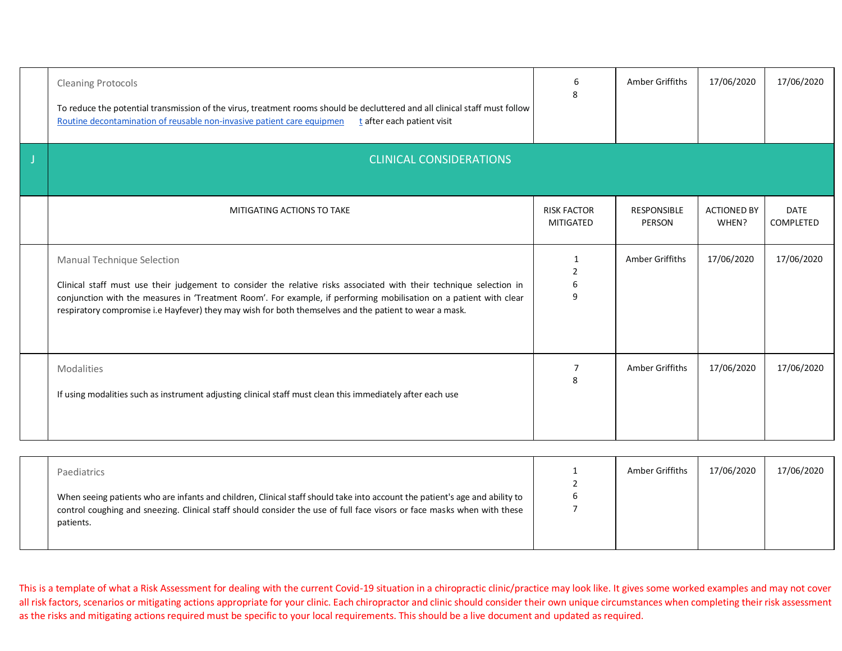| <b>Cleaning Protocols</b><br>To reduce the potential transmission of the virus, treatment rooms should be decluttered and all clinical staff must follow<br>Routine decontamination of reusable non-invasive patient care equipmen<br>t after each patient visit                                                                                                                  | 6<br>8                                 | Amber Griffiths              | 17/06/2020                  | 17/06/2020               |
|-----------------------------------------------------------------------------------------------------------------------------------------------------------------------------------------------------------------------------------------------------------------------------------------------------------------------------------------------------------------------------------|----------------------------------------|------------------------------|-----------------------------|--------------------------|
| <b>CLINICAL CONSIDERATIONS</b>                                                                                                                                                                                                                                                                                                                                                    |                                        |                              |                             |                          |
| MITIGATING ACTIONS TO TAKE                                                                                                                                                                                                                                                                                                                                                        | <b>RISK FACTOR</b><br><b>MITIGATED</b> | <b>RESPONSIBLE</b><br>PERSON | <b>ACTIONED BY</b><br>WHEN? | <b>DATE</b><br>COMPLETED |
| Manual Technique Selection<br>Clinical staff must use their judgement to consider the relative risks associated with their technique selection in<br>conjunction with the measures in 'Treatment Room'. For example, if performing mobilisation on a patient with clear<br>respiratory compromise i.e Hayfever) they may wish for both themselves and the patient to wear a mask. | $\overline{2}$<br>6<br>9               | Amber Griffiths              | 17/06/2020                  | 17/06/2020               |
| Modalities<br>If using modalities such as instrument adjusting clinical staff must clean this immediately after each use                                                                                                                                                                                                                                                          | 8                                      | Amber Griffiths              | 17/06/2020                  | 17/06/2020               |

| Paediatrics<br>When seeing patients who are infants and children, Clinical staff should take into account the patient's age and ability to<br>control coughing and sneezing. Clinical staff should consider the use of full face visors or face masks when with these<br>patients. |  | Amber Griffiths | 17/06/2020 | 17/06/2020 |
|------------------------------------------------------------------------------------------------------------------------------------------------------------------------------------------------------------------------------------------------------------------------------------|--|-----------------|------------|------------|
|------------------------------------------------------------------------------------------------------------------------------------------------------------------------------------------------------------------------------------------------------------------------------------|--|-----------------|------------|------------|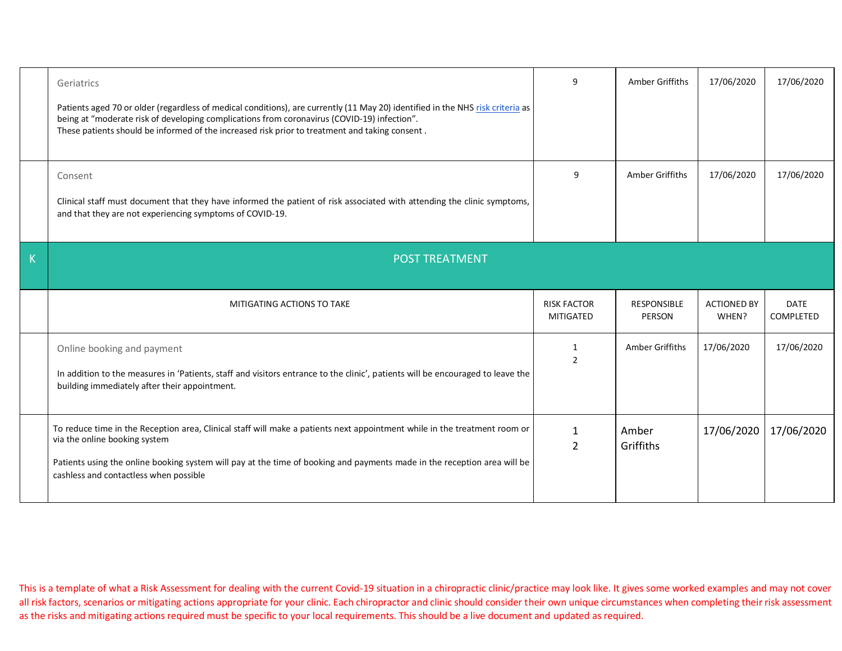|   | Geriatrics<br>Patients aged 70 or older (regardless of medical conditions), are currently (11 May 20) identified in the NHS risk criteria as<br>being at "moderate risk of developing complications from coronavirus (COVID-19) infection".<br>These patients should be informed of the increased risk prior to treatment and taking consent. | 9                                      | Amber Griffiths              | 17/06/2020                  | 17/06/2020               |
|---|-----------------------------------------------------------------------------------------------------------------------------------------------------------------------------------------------------------------------------------------------------------------------------------------------------------------------------------------------|----------------------------------------|------------------------------|-----------------------------|--------------------------|
|   | Consent<br>Clinical staff must document that they have informed the patient of risk associated with attending the clinic symptoms,<br>and that they are not experiencing symptoms of COVID-19.                                                                                                                                                | 9                                      | Amber Griffiths              | 17/06/2020                  | 17/06/2020               |
| K | <b>POST TREATMENT</b>                                                                                                                                                                                                                                                                                                                         |                                        |                              |                             |                          |
|   |                                                                                                                                                                                                                                                                                                                                               |                                        |                              |                             |                          |
|   | MITIGATING ACTIONS TO TAKE                                                                                                                                                                                                                                                                                                                    | <b>RISK FACTOR</b><br><b>MITIGATED</b> | <b>RESPONSIBLE</b><br>PERSON | <b>ACTIONED BY</b><br>WHEN? | <b>DATE</b><br>COMPLETED |
|   | Online booking and payment<br>In addition to the measures in 'Patients, staff and visitors entrance to the clinic', patients will be encouraged to leave the<br>building immediately after their appointment.                                                                                                                                 | 1<br>$\overline{2}$                    | Amber Griffiths              | 17/06/2020                  | 17/06/2020               |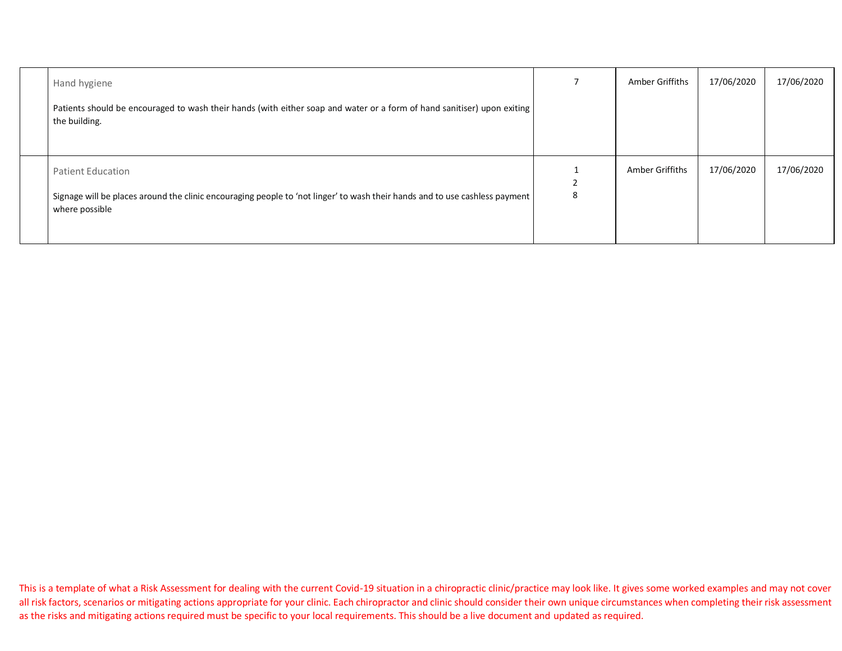| Hand hygiene                                                                                                                                                              | Amber Griffiths | 17/06/2020 | 17/06/2020 |
|---------------------------------------------------------------------------------------------------------------------------------------------------------------------------|-----------------|------------|------------|
| Patients should be encouraged to wash their hands (with either soap and water or a form of hand sanitiser) upon exiting<br>the building.                                  |                 |            |            |
| <b>Patient Education</b><br>Signage will be places around the clinic encouraging people to 'not linger' to wash their hands and to use cashless payment<br>where possible | Amber Griffiths | 17/06/2020 | 17/06/2020 |